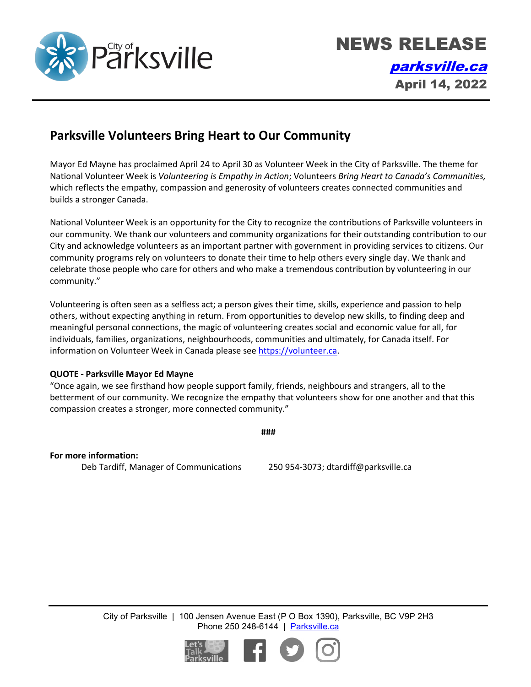

## **Parksville Volunteers Bring Heart to Our Community**

Mayor Ed Mayne has proclaimed April 24 to April 30 as Volunteer Week in the City of Parksville. The theme for National Volunteer Week is *Volunteering is Empathy in Action*; Volunteers *Bring Heart to Canada's Communities,* which reflects the empathy, compassion and generosity of volunteers creates connected communities and builds a stronger Canada.

National Volunteer Week is an opportunity for the City to recognize the contributions of Parksville volunteers in our community. We thank our volunteers and community organizations for their outstanding contribution to our City and acknowledge volunteers as an important partner with government in providing services to citizens. Our community programs rely on volunteers to donate their time to help others every single day. We thank and celebrate those people who care for others and who make a tremendous contribution by volunteering in our community."

Volunteering is often seen as a selfless act; a person gives their time, skills, experience and passion to help others, without expecting anything in return. From opportunities to develop new skills, to finding deep and meaningful personal connections, the magic of volunteering creates social and economic value for all, for individuals, families, organizations, neighbourhoods, communities and ultimately, for Canada itself. For information on Volunteer Week in Canada please see [https://volunteer.ca.](https://volunteer.ca/)

## **QUOTE - Parksville Mayor Ed Mayne**

"Once again, we see firsthand how people support family, friends, neighbours and strangers, all to the betterment of our community. We recognize the empathy that volunteers show for one another and that this compassion creates a stronger, more connected community."

**###**

**For more information:** Deb Tardiff, Manager of Communications 250 954-3073; dtardiff@parksville.ca

City of Parksville | 100 Jensen Avenue East (P O Box 1390), Parksville, BC V9P 2H3 Phone 250 248-6144 | [Parksville.ca](http://www.parksville.ca/)